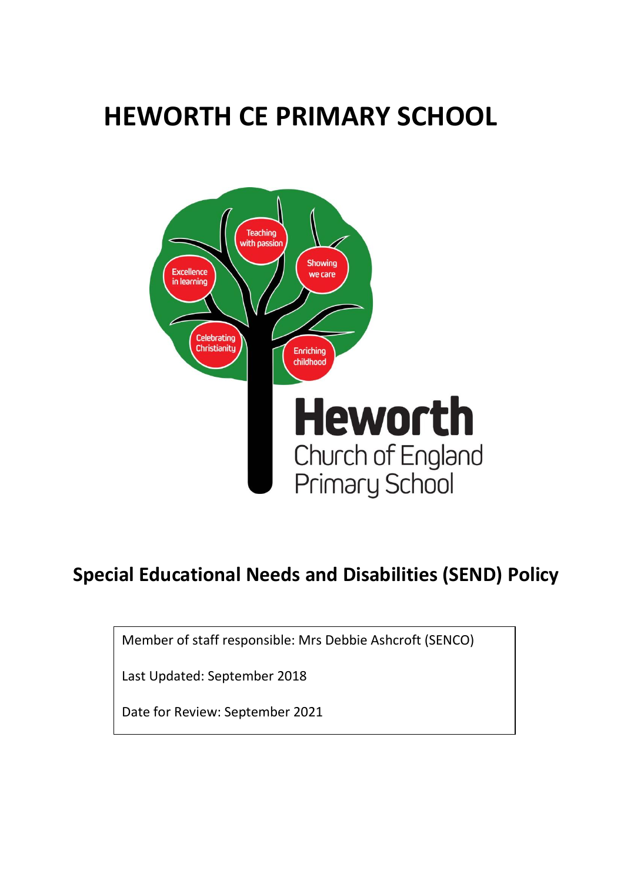# **HEWORTH CE PRIMARY SCHOOL**



# **Special Educational Needs and Disabilities (SEND) Policy**

Member of staff responsible: Mrs Debbie Ashcroft (SENCO)

Last Updated: September 2018

Date for Review: September 2021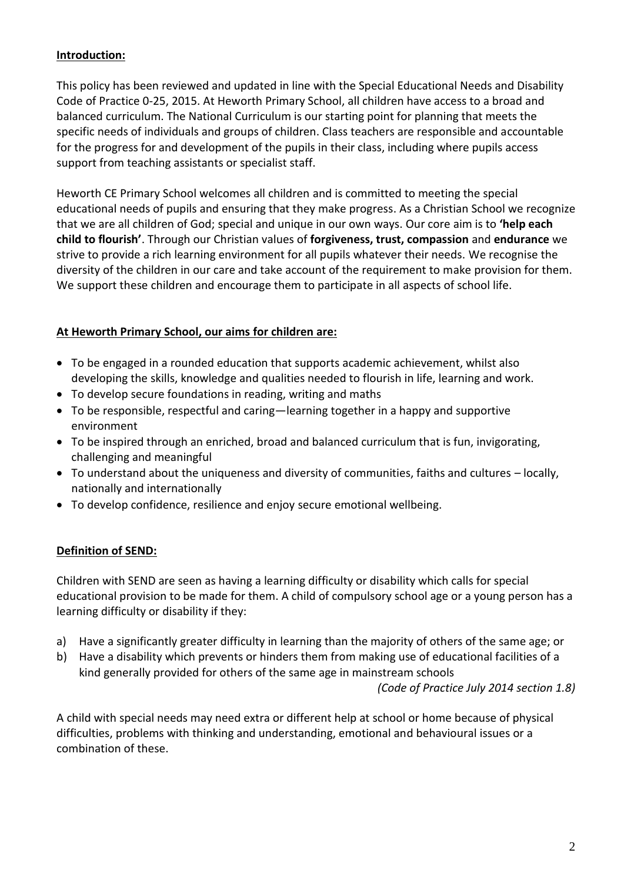#### **Introduction:**

This policy has been reviewed and updated in line with the Special Educational Needs and Disability Code of Practice 0-25, 2015. At Heworth Primary School, all children have access to a broad and balanced curriculum. The National Curriculum is our starting point for planning that meets the specific needs of individuals and groups of children. Class teachers are responsible and accountable for the progress for and development of the pupils in their class, including where pupils access support from teaching assistants or specialist staff.

Heworth CE Primary School welcomes all children and is committed to meeting the special educational needs of pupils and ensuring that they make progress. As a Christian School we recognize that we are all children of God; special and unique in our own ways. Our core aim is to **'help each child to flourish'**. Through our Christian values of **forgiveness, trust, compassion** and **endurance** we strive to provide a rich learning environment for all pupils whatever their needs. We recognise the diversity of the children in our care and take account of the requirement to make provision for them. We support these children and encourage them to participate in all aspects of school life.

#### **At Heworth Primary School, our aims for children are:**

- To be engaged in a rounded education that supports academic achievement, whilst also developing the skills, knowledge and qualities needed to flourish in life, learning and work.
- To develop secure foundations in reading, writing and maths
- To be responsible, respectful and caring—learning together in a happy and supportive environment
- To be inspired through an enriched, broad and balanced curriculum that is fun, invigorating, challenging and meaningful
- To understand about the uniqueness and diversity of communities, faiths and cultures locally, nationally and internationally
- To develop confidence, resilience and enjoy secure emotional wellbeing.

### **Definition of SEND:**

Children with SEND are seen as having a learning difficulty or disability which calls for special educational provision to be made for them. A child of compulsory school age or a young person has a learning difficulty or disability if they:

- a) Have a significantly greater difficulty in learning than the majority of others of the same age; or
- b) Have a disability which prevents or hinders them from making use of educational facilities of a kind generally provided for others of the same age in mainstream schools

*(Code of Practice July 2014 section 1.8)*

A child with special needs may need extra or different help at school or home because of physical difficulties, problems with thinking and understanding, emotional and behavioural issues or a combination of these.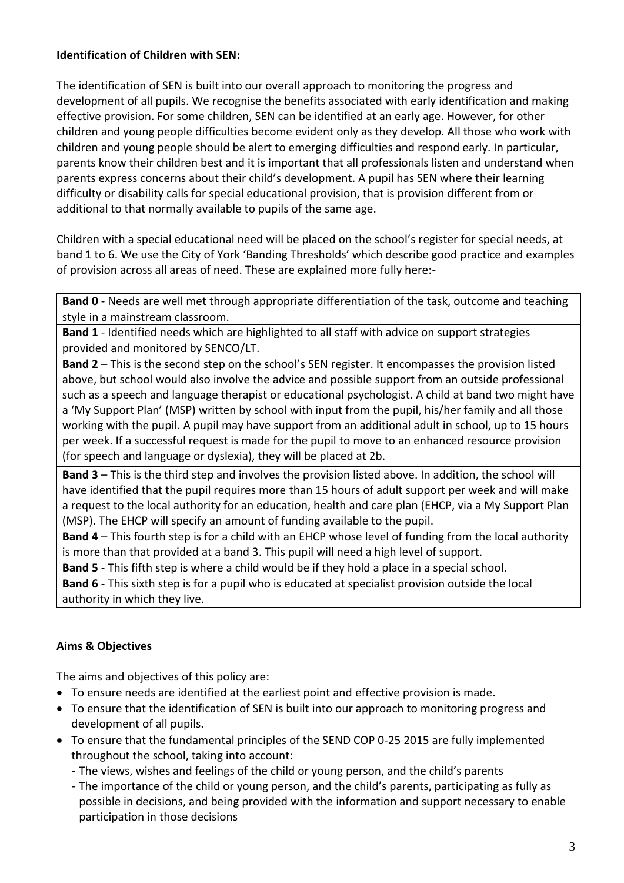#### **Identification of Children with SEN:**

The identification of SEN is built into our overall approach to monitoring the progress and development of all pupils. We recognise the benefits associated with early identification and making effective provision. For some children, SEN can be identified at an early age. However, for other children and young people difficulties become evident only as they develop. All those who work with children and young people should be alert to emerging difficulties and respond early. In particular, parents know their children best and it is important that all professionals listen and understand when parents express concerns about their child's development. A pupil has SEN where their learning difficulty or disability calls for special educational provision, that is provision different from or additional to that normally available to pupils of the same age.

Children with a special educational need will be placed on the school's register for special needs, at band 1 to 6. We use the City of York 'Banding Thresholds' which describe good practice and examples of provision across all areas of need. These are explained more fully here:-

**Band 0** - Needs are well met through appropriate differentiation of the task, outcome and teaching style in a mainstream classroom.

**Band 1** - Identified needs which are highlighted to all staff with advice on support strategies provided and monitored by SENCO/LT.

**Band 2** – This is the second step on the school's SEN register. It encompasses the provision listed above, but school would also involve the advice and possible support from an outside professional such as a speech and language therapist or educational psychologist. A child at band two might have a 'My Support Plan' (MSP) written by school with input from the pupil, his/her family and all those working with the pupil. A pupil may have support from an additional adult in school, up to 15 hours per week. If a successful request is made for the pupil to move to an enhanced resource provision (for speech and language or dyslexia), they will be placed at 2b.

**Band 3** – This is the third step and involves the provision listed above. In addition, the school will have identified that the pupil requires more than 15 hours of adult support per week and will make a request to the local authority for an education, health and care plan (EHCP, via a My Support Plan (MSP). The EHCP will specify an amount of funding available to the pupil.

**Band 4** – This fourth step is for a child with an EHCP whose level of funding from the local authority is more than that provided at a band 3. This pupil will need a high level of support.

**Band 5** - This fifth step is where a child would be if they hold a place in a special school. **Band 6** - This sixth step is for a pupil who is educated at specialist provision outside the local authority in which they live.

# **Aims & Objectives**

The aims and objectives of this policy are:

- To ensure needs are identified at the earliest point and effective provision is made.
- To ensure that the identification of SEN is built into our approach to monitoring progress and development of all pupils.
- To ensure that the fundamental principles of the SEND COP 0-25 2015 are fully implemented throughout the school, taking into account:
	- The views, wishes and feelings of the child or young person, and the child's parents
	- The importance of the child or young person, and the child's parents, participating as fully as possible in decisions, and being provided with the information and support necessary to enable participation in those decisions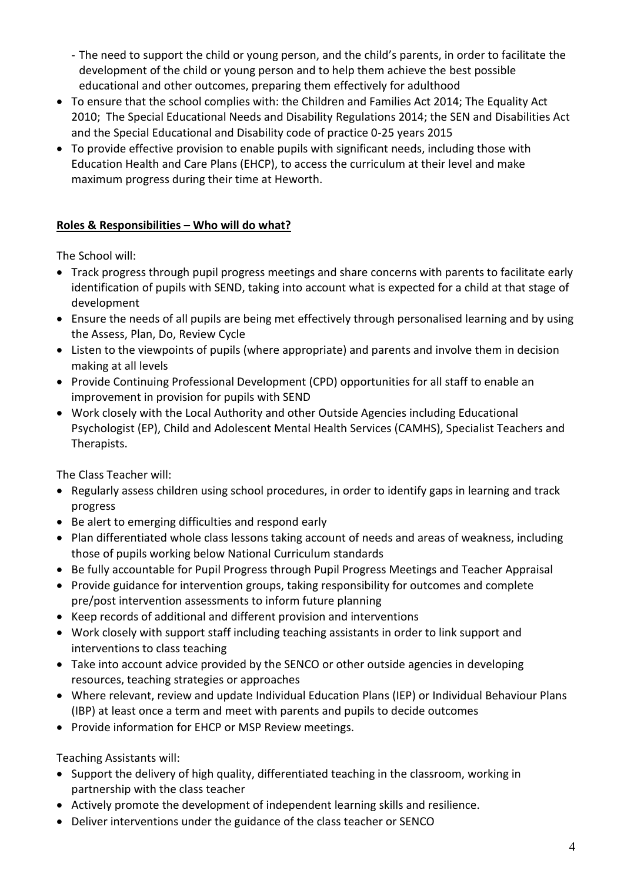- The need to support the child or young person, and the child's parents, in order to facilitate the development of the child or young person and to help them achieve the best possible educational and other outcomes, preparing them effectively for adulthood
- To ensure that the school complies with: the Children and Families Act 2014; The Equality Act 2010; The Special Educational Needs and Disability Regulations 2014; the SEN and Disabilities Act and the Special Educational and Disability code of practice 0-25 years 2015
- To provide effective provision to enable pupils with significant needs, including those with Education Health and Care Plans (EHCP), to access the curriculum at their level and make maximum progress during their time at Heworth.

# **Roles & Responsibilities – Who will do what?**

The School will:

- Track progress through pupil progress meetings and share concerns with parents to facilitate early identification of pupils with SEND, taking into account what is expected for a child at that stage of development
- Ensure the needs of all pupils are being met effectively through personalised learning and by using the Assess, Plan, Do, Review Cycle
- Listen to the viewpoints of pupils (where appropriate) and parents and involve them in decision making at all levels
- Provide Continuing Professional Development (CPD) opportunities for all staff to enable an improvement in provision for pupils with SEND
- Work closely with the Local Authority and other Outside Agencies including Educational Psychologist (EP), Child and Adolescent Mental Health Services (CAMHS), Specialist Teachers and Therapists.

The Class Teacher will:

- Regularly assess children using school procedures, in order to identify gaps in learning and track progress
- Be alert to emerging difficulties and respond early
- Plan differentiated whole class lessons taking account of needs and areas of weakness, including those of pupils working below National Curriculum standards
- Be fully accountable for Pupil Progress through Pupil Progress Meetings and Teacher Appraisal
- Provide guidance for intervention groups, taking responsibility for outcomes and complete pre/post intervention assessments to inform future planning
- Keep records of additional and different provision and interventions
- Work closely with support staff including teaching assistants in order to link support and interventions to class teaching
- Take into account advice provided by the SENCO or other outside agencies in developing resources, teaching strategies or approaches
- Where relevant, review and update Individual Education Plans (IEP) or Individual Behaviour Plans (IBP) at least once a term and meet with parents and pupils to decide outcomes
- Provide information for EHCP or MSP Review meetings.

Teaching Assistants will:

- Support the delivery of high quality, differentiated teaching in the classroom, working in partnership with the class teacher
- Actively promote the development of independent learning skills and resilience.
- Deliver interventions under the guidance of the class teacher or SENCO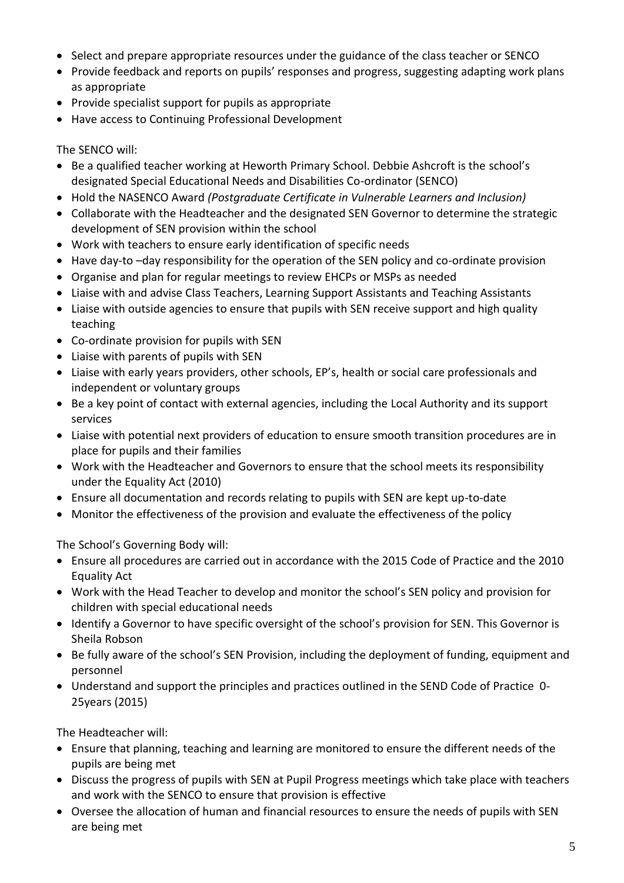- Select and prepare appropriate resources under the guidance of the class teacher or SENCO
- Provide feedback and reports on pupils' responses and progress, suggesting adapting work plans as appropriate
- Provide specialist support for pupils as appropriate
- Have access to Continuing Professional Development

The SENCO will:

- Be a qualified teacher working at Heworth Primary School. Debbie Ashcroft is the school's designated Special Educational Needs and Disabilities Co-ordinator (SENCO)
- Hold the NASENCO Award *(Postgraduate Certificate in Vulnerable Learners and Inclusion)*
- Collaborate with the Headteacher and the designated SEN Governor to determine the strategic development of SEN provision within the school
- Work with teachers to ensure early identification of specific needs
- Have day-to -day responsibility for the operation of the SEN policy and co-ordinate provision
- Organise and plan for regular meetings to review EHCPs or MSPs as needed
- Liaise with and advise Class Teachers, Learning Support Assistants and Teaching Assistants
- Liaise with outside agencies to ensure that pupils with SEN receive support and high quality teaching
- Co-ordinate provision for pupils with SEN
- Liaise with parents of pupils with SEN
- Liaise with early years providers, other schools, EP's, health or social care professionals and independent or voluntary groups
- Be a key point of contact with external agencies, including the Local Authority and its support services
- Liaise with potential next providers of education to ensure smooth transition procedures are in place for pupils and their families
- Work with the Headteacher and Governors to ensure that the school meets its responsibility under the Equality Act (2010)
- Ensure all documentation and records relating to pupils with SEN are kept up-to-date
- Monitor the effectiveness of the provision and evaluate the effectiveness of the policy

The School's Governing Body will:

- Ensure all procedures are carried out in accordance with the 2015 Code of Practice and the 2010 Equality Act
- Work with the Head Teacher to develop and monitor the school's SEN policy and provision for children with special educational needs
- Identify a Governor to have specific oversight of the school's provision for SEN. This Governor is Sheila Robson
- Be fully aware of the school's SEN Provision, including the deployment of funding, equipment and personnel
- Understand and support the principles and practices outlined in the SEND Code of Practice 0- 25years (2015)

The Headteacher will:

- Ensure that planning, teaching and learning are monitored to ensure the different needs of the pupils are being met
- Discuss the progress of pupils with SEN at Pupil Progress meetings which take place with teachers and work with the SENCO to ensure that provision is effective
- Oversee the allocation of human and financial resources to ensure the needs of pupils with SEN are being met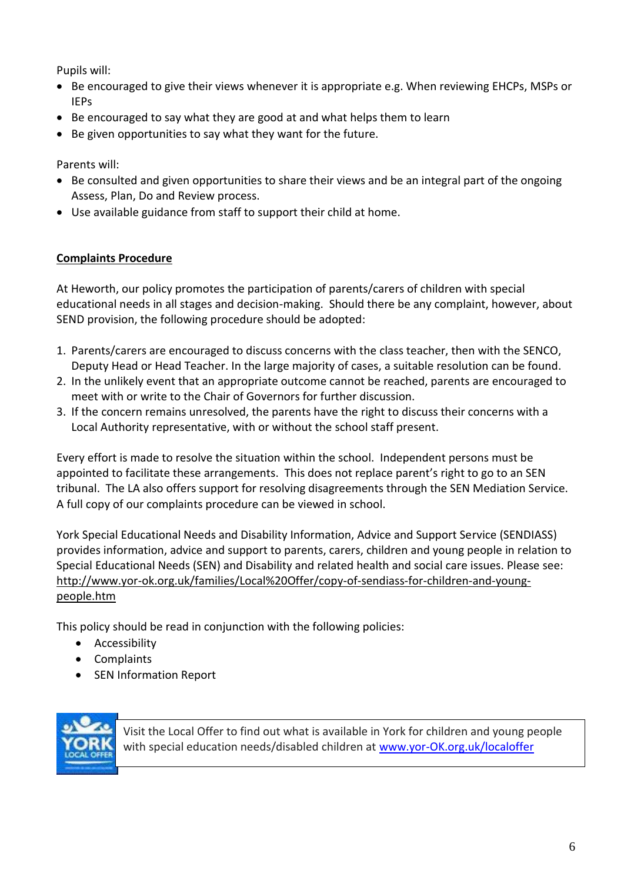Pupils will:

- Be encouraged to give their views whenever it is appropriate e.g. When reviewing EHCPs, MSPs or IEPs
- Be encouraged to say what they are good at and what helps them to learn
- Be given opportunities to say what they want for the future.

Parents will:

- Be consulted and given opportunities to share their views and be an integral part of the ongoing Assess, Plan, Do and Review process.
- Use available guidance from staff to support their child at home.

#### **Complaints Procedure**

At Heworth, our policy promotes the participation of parents/carers of children with special educational needs in all stages and decision-making. Should there be any complaint, however, about SEND provision, the following procedure should be adopted:

- 1. Parents/carers are encouraged to discuss concerns with the class teacher, then with the SENCO, Deputy Head or Head Teacher. In the large majority of cases, a suitable resolution can be found.
- 2. In the unlikely event that an appropriate outcome cannot be reached, parents are encouraged to meet with or write to the Chair of Governors for further discussion.
- 3. If the concern remains unresolved, the parents have the right to discuss their concerns with a Local Authority representative, with or without the school staff present.

Every effort is made to resolve the situation within the school. Independent persons must be appointed to facilitate these arrangements. This does not replace parent's right to go to an SEN tribunal. The LA also offers support for resolving disagreements through the SEN Mediation Service. A full copy of our complaints procedure can be viewed in school.

York Special Educational Needs and Disability Information, Advice and Support Service (SENDIASS) provides information, advice and support to parents, carers, children and young people in relation to Special Educational Needs (SEN) and Disability and related health and social care issues. Please see: [http://www.yor-ok.org.uk/families/Local%20Offer/copy-of-sendiass-for-children-and-young](http://www.yor-ok.org.uk/families/Local%20Offer/copy-of-sendiass-for-children-and-young-people.htm)[people.htm](http://www.yor-ok.org.uk/families/Local%20Offer/copy-of-sendiass-for-children-and-young-people.htm)

This policy should be read in conjunction with the following policies:

- Accessibility
- Complaints
- SEN Information Report



Visit the Local Offer to find out what is available in York for children and young people with special education needs/disabled children at [www.yor-OK.org.uk/localoffer](http://www.yor-ok.org.uk/localoffer)